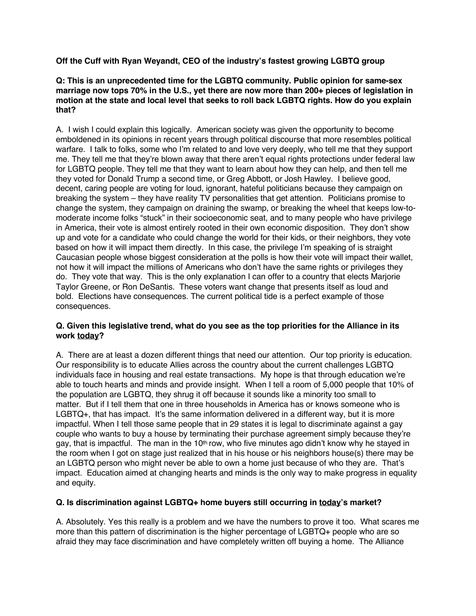**Off the Cuff with Ryan Weyandt, CEO of the industry's fastest growing LGBTQ group**

## **Q: This is an unprecedented time for the LGBTQ community. Public opinion for same-sex marriage now tops 70% in the U.S., yet there are now more than 200+ pieces of legislation in motion at the state and local level that seeks to roll back LGBTQ rights. How do you explain that?**

A. I wish I could explain this logically. American society was given the opportunity to become emboldened in its opinions in recent years through political discourse that more resembles political warfare. I talk to folks, some who I'm related to and love very deeply, who tell me that they support me. They tell me that they're blown away that there aren't equal rights protections under federal law for LGBTQ people. They tell me that they want to learn about how they can help, and then tell me they voted for Donald Trump a second time, or Greg Abbott, or Josh Hawley. I believe good, decent, caring people are voting for loud, ignorant, hateful politicians because they campaign on breaking the system – they have reality TV personalities that get attention. Politicians promise to change the system, they campaign on draining the swamp, or breaking the wheel that keeps low-tomoderate income folks "stuck" in their socioeconomic seat, and to many people who have privilege in America, their vote is almost entirely rooted in their own economic disposition. They don't show up and vote for a candidate who could change the world for their kids, or their neighbors, they vote based on how it will impact them directly. In this case, the privilege I'm speaking of is straight Caucasian people whose biggest consideration at the polls is how their vote will impact their wallet, not how it will impact the millions of Americans who don't have the same rights or privileges they do. They vote that way. This is the only explanation I can offer to a country that elects Marjorie Taylor Greene, or Ron DeSantis. These voters want change that presents itself as loud and bold. Elections have consequences. The current political tide is a perfect example of those consequences.

## **Q. Given this legislative trend, what do you see as the top priorities for the Alliance in its work today?**

A. There are at least a dozen different things that need our attention. Our top priority is education. Our responsibility is to educate Allies across the country about the current challenges LGBTQ individuals face in housing and real estate transactions. My hope is that through education we're able to touch hearts and minds and provide insight. When I tell a room of 5,000 people that 10% of the population are LGBTQ, they shrug it off because it sounds like a minority too small to matter. But if I tell them that one in three households in America has or knows someone who is LGBTQ+, that has impact. It's the same information delivered in a different way, but it is more impactful. When I tell those same people that in 29 states it is legal to discriminate against a gay couple who wants to buy a house by terminating their purchase agreement simply because they're gay, that is impactful. The man in the 10<sup>th</sup> row, who five minutes ago didn't know why he stayed in the room when I got on stage just realized that in his house or his neighbors house(s) there may be an LGBTQ person who might never be able to own a home just because of who they are. That's impact. Education aimed at changing hearts and minds is the only way to make progress in equality and equity.

# **Q. Is discrimination against LGBTQ+ home buyers still occurring in today's market?**

A. Absolutely. Yes this really is a problem and we have the numbers to prove it too. What scares me more than this pattern of discrimination is the higher percentage of LGBTQ+ people who are so afraid they may face discrimination and have completely written off buying a home. The Alliance